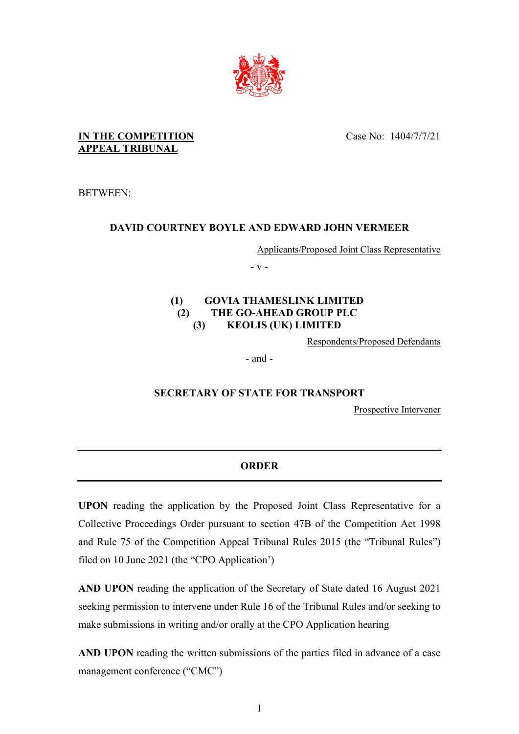

Case No: 1404/7/7/21

#### **IN THE COMPETITION APPEAL TRIBUNAL**

BETWEEN:

# **DAVID COURTNEY BOYLE AND EDWARD JOHN VERMEER**

Applicants/Proposed Joint Class Representative

- v -

#### **(1) GOVIA THAMESLINK LIMITED (2) THE GO-AHEAD GROUP PLC (3) KEOLIS (UK) LIMITED**

Respondents/Proposed Defendants

- and -

## **SECRETARY OF STATE FOR TRANSPORT**

Prospective Intervener

# **ORDER**

**UPON** reading the application by the Proposed Joint Class Representative for a Collective Proceedings Order pursuant to section 47B of the Competition Act 1998 and Rule 75 of the Competition Appeal Tribunal Rules 2015 (the "Tribunal Rules") filed on 10 June 2021 (the "CPO Application')

**AND UPON** reading the application of the Secretary of State dated 16 August 2021 seeking permission to intervene under Rule 16 of the Tribunal Rules and/or seeking to make submissions in writing and/or orally at the CPO Application hearing

**AND UPON** reading the written submissions of the parties filed in advance of a case management conference ("CMC")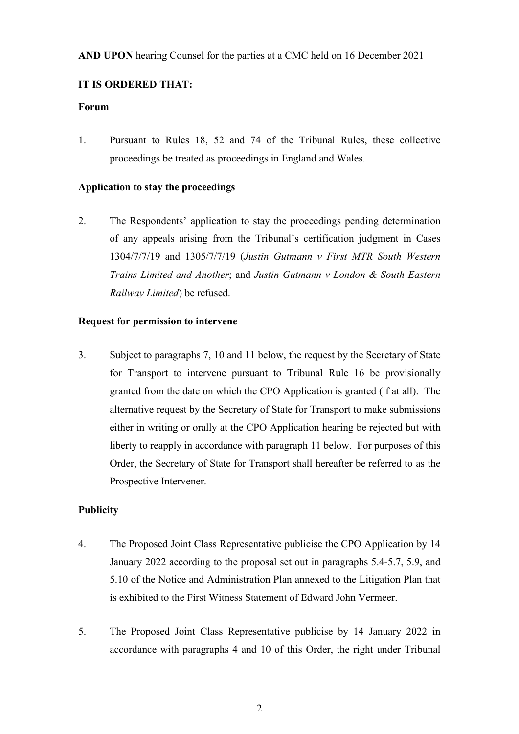### **IT IS ORDERED THAT:**

#### **Forum**

1. Pursuant to Rules 18, 52 and 74 of the Tribunal Rules, these collective proceedings be treated as proceedings in England and Wales.

### **Application to stay the proceedings**

2. The Respondents' application to stay the proceedings pending determination of any appeals arising from the Tribunal's certification judgment in Cases 1304/7/7/19 and 1305/7/7/19 (*Justin Gutmann v First MTR South Western Trains Limited and Another*; and *Justin Gutmann v London & South Eastern Railway Limited*) be refused.

### **Request for permission to intervene**

3. Subject to paragraphs 7, 10 and 11 below, the request by the Secretary of State for Transport to intervene pursuant to Tribunal Rule 16 be provisionally granted from the date on which the CPO Application is granted (if at all). The alternative request by the Secretary of State for Transport to make submissions either in writing or orally at the CPO Application hearing be rejected but with liberty to reapply in accordance with paragraph 11 below. For purposes of this Order, the Secretary of State for Transport shall hereafter be referred to as the Prospective Intervener.

### **Publicity**

- 4. The Proposed Joint Class Representative publicise the CPO Application by 14 January 2022 according to the proposal set out in paragraphs 5.4-5.7, 5.9, and 5.10 of the Notice and Administration Plan annexed to the Litigation Plan that is exhibited to the First Witness Statement of Edward John Vermeer.
- 5. The Proposed Joint Class Representative publicise by 14 January 2022 in accordance with paragraphs 4 and 10 of this Order, the right under Tribunal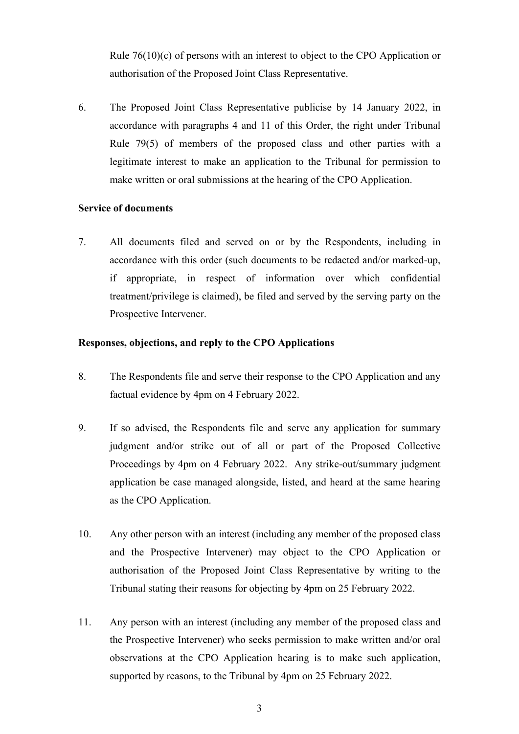Rule 76(10)(c) of persons with an interest to object to the CPO Application or authorisation of the Proposed Joint Class Representative.

6. The Proposed Joint Class Representative publicise by 14 January 2022, in accordance with paragraphs 4 and 11 of this Order, the right under Tribunal Rule 79(5) of members of the proposed class and other parties with a legitimate interest to make an application to the Tribunal for permission to make written or oral submissions at the hearing of the CPO Application.

#### **Service of documents**

7. All documents filed and served on or by the Respondents, including in accordance with this order (such documents to be redacted and/or marked-up, if appropriate, in respect of information over which confidential treatment/privilege is claimed), be filed and served by the serving party on the Prospective Intervener.

#### **Responses, objections, and reply to the CPO Applications**

- 8. The Respondents file and serve their response to the CPO Application and any factual evidence by 4pm on 4 February 2022.
- 9. If so advised, the Respondents file and serve any application for summary judgment and/or strike out of all or part of the Proposed Collective Proceedings by 4pm on 4 February 2022. Any strike-out/summary judgment application be case managed alongside, listed, and heard at the same hearing as the CPO Application.
- 10. Any other person with an interest (including any member of the proposed class and the Prospective Intervener) may object to the CPO Application or authorisation of the Proposed Joint Class Representative by writing to the Tribunal stating their reasons for objecting by 4pm on 25 February 2022.
- 11. Any person with an interest (including any member of the proposed class and the Prospective Intervener) who seeks permission to make written and/or oral observations at the CPO Application hearing is to make such application, supported by reasons, to the Tribunal by 4pm on 25 February 2022.